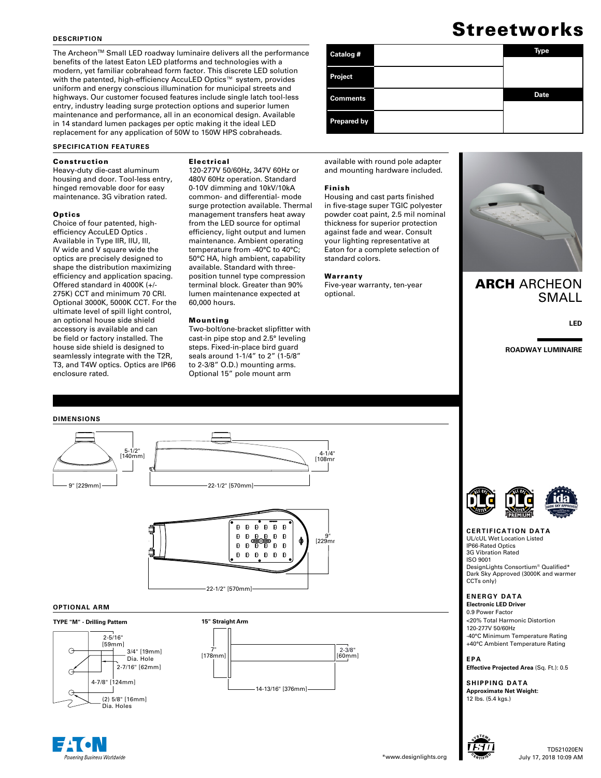#### **DESCRIPTION**

The Archeon™ Small LED roadway luminaire delivers all the performance benefits of the latest Eaton LED platforms and technologies with a modern, yet familiar cobrahead form factor. This discrete LED solution with the patented, high-efficiency AccuLED Optics™ system, provides uniform and energy conscious illumination for municipal streets and highways. Our customer focused features include single latch tool-less entry, industry leading surge protection options and superior lumen maintenance and performance, all in an economical design. Available in 14 standard lumen packages per optic making it the ideal LED replacement for any application of 50W to 150W HPS cobraheads.

#### **SPECIFICATION FEATURES**

#### Construction

Heavy-duty die-cast aluminum housing and door. Tool-less entry, hinged removable door for easy maintenance. 3G vibration rated.

#### **Optics**

Choice of four patented, highefficiency AccuLED Optics . Available in Type IIR, IIU, III, IV wide and V square wide the optics are precisely designed to shape the distribution maximizing efficiency and application spacing. Offered standard in 4000K (+/- 275K) CCT and minimum 70 CRI. Optional 3000K, 5000K CCT. For the ultimate level of spill light control, an optional house side shield accessory is available and can be field or factory installed. The house side shield is designed to seamlessly integrate with the T2R, T3, and T4W optics. Optics are IP66 enclosure rated.

### Electrical

120-277V 50/60Hz, 347V 60Hz or 480V 60Hz operation. Standard 0-10V dimming and 10kV/10kA common- and differential- mode surge protection available. Thermal management transfers heat away from the LED source for optimal efficiency, light output and lumen maintenance. Ambient operating temperature from -40°C to 40°C; 50°C HA, high ambient, capability available. Standard with threeposition tunnel type compression terminal block. Greater than 90% lumen maintenance expected at 60,000 hours.

#### Mounting

Two-bolt/one-bracket slipfitter with cast-in pipe stop and 2.5° leveling steps. Fixed-in-place bird guard seals around 1-1/4" to 2" (1-5/8" to 2-3/8" O.D.) mounting arms. Optional 15" pole mount arm



available with round pole adapter and mounting hardware included.

#### Finish

Housing and cast parts finished in five-stage super TGIC polyester powder coat paint, 2.5 mil nominal thickness for superior protection against fade and wear. Consult your lighting representative at Eaton for a complete selection of standard colors.

#### Warranty

Five-year warranty, ten-year optional.



## **ARCH ARCHEON** SMALL

**LED**

**ROADWAY LUMINAIRE**



#### **OPTIONAL ARM**

#### **TYPE "M" - Drilling Pattern**



ering Business Worldwide





#### **CERTIFICATION DATA**

UL/cUL Wet Location Listed IP66-Rated Optics 3G Vibration Rated ISO 9001 DesignLights Consortium® Qualified\* Dark Sky Approved (3000K and warmer CCTs only)

#### **ENERGY DATA**

**Electronic LED Driver** 0.9 Power Factor <20% Total Harmonic Distortion 120-277V 50/60Hz -40°C Minimum Temperature Rating +40°C Ambient Temperature Rating

**EPA Effective Projected Area** (Sq. Ft.): 0.5

**SHIPPING DATA Approximate Net Weight:**  12 lbs. (5.4 kgs.)



# Streetworks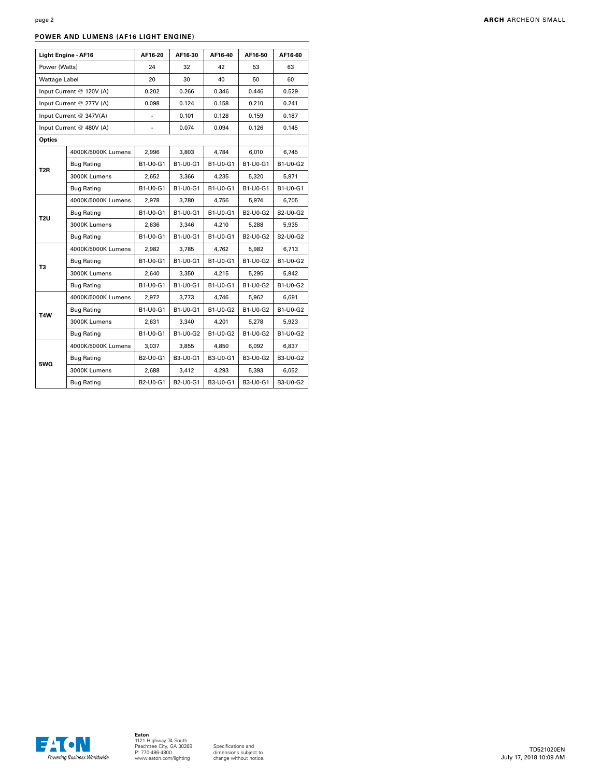## **POWER AND LUMENS (AF16 LIGHT ENGINE)**

|                          | Light Engine - AF16      | AF16-20       | AF16-30        | AF16-40         | AF16-50         | AF16-60         |
|--------------------------|--------------------------|---------------|----------------|-----------------|-----------------|-----------------|
| Power (Watts)            |                          | 24            | 32             | 42              | 53              | 63              |
| Wattage Label            |                          | 20            | 30             | 40              | 50              | 60              |
|                          | Input Current @ 120V (A) | 0.202         | 0.266          | 0.346           | 0.446           | 0.529           |
| Input Current @ 277V (A) |                          | 0.098         | 0.124<br>0.158 |                 | 0.210           | 0.241           |
|                          | Input Current @ 347V(A)  |               | 0.101<br>0.128 |                 | 0.159           | 0.187           |
| Input Current @ 480V (A) |                          | $\frac{1}{2}$ | 0.074          | 0.094           |                 | 0.145           |
| Optics                   |                          |               |                |                 |                 |                 |
|                          | 4000K/5000K Lumens       | 2,996         | 3.803          | 4.784           | 6.010           | 6,745           |
|                          | <b>Bug Rating</b>        | B1-U0-G1      | B1-U0-G1       | B1-U0-G1        | B1-U0-G1        | B1-U0-G2        |
| T <sub>2</sub> R         | 3000K Lumens             | 2,652         | 3,366          | 4,235           | 5,320           | 5,971           |
|                          | <b>Bug Rating</b>        | B1-U0-G1      | B1-U0-G1       | B1-U0-G1        | B1-U0-G1        | B1-U0-G1        |
|                          | 4000K/5000K Lumens       | 2,978         | 3,780          | 4,756           | 5,974           | 6,705           |
|                          | Bug Rating               | B1-U0-G1      | B1-U0-G1       | B1-U0-G1        | <b>B2-U0-G2</b> | <b>B2-U0-G2</b> |
| T2U                      | 3000K Lumens             | 2,636         | 3,346          | 4,210           | 5,288           | 5,935           |
|                          | <b>Bug Rating</b>        | B1-U0-G1      | B1-U0-G1       | B1-U0-G1        | <b>B2-U0-G2</b> | B2-U0-G2        |
|                          | 4000K/5000K Lumens       | 2,982         | 3,785          | 4,762           | 5,982           | 6,713           |
|                          | <b>Bug Rating</b>        | B1-U0-G1      | B1-U0-G1       | B1-U0-G1        | B1-U0-G2        | B1-U0-G2        |
| T3                       | 3000K Lumens             | 2,640         | 3,350          | 4,215           | 5,295           | 5,942           |
|                          | <b>Bug Rating</b>        | B1-U0-G1      | B1-U0-G1       | B1-U0-G1        | B1-U0-G2        | <b>B1-U0-G2</b> |
| T <sub>4</sub> W         | 4000K/5000K Lumens       | 2,972         | 3,773          | 4,746           | 5,962           | 6,691           |
|                          | <b>Bug Rating</b>        | B1-U0-G1      | B1-U0-G1       | <b>B1-U0-G2</b> | <b>B1-U0-G2</b> | <b>B1-U0-G2</b> |
|                          | 3000K Lumens             | 2.631         | 3.340          | 4,201           | 5.278           | 5.923           |
|                          | <b>Bug Rating</b>        | B1-U0-G1      | B1-U0-G2       | B1-U0-G2        | B1-U0-G2        | B1-U0-G2        |
| 5WQ                      | 4000K/5000K Lumens       | 3,037         | 3,855          | 4,850           | 6,092           | 6,837           |
|                          | <b>Bug Rating</b>        | B2-U0-G1      | B3-U0-G1       | B3-U0-G1        | B3-U0-G2        | B3-U0-G2        |
|                          | 3000K Lumens             | 2,688         | 3,412          | 4,293           | 5,393           | 6,052           |
|                          | <b>Bug Rating</b>        | B2-U0-G1      | B2-U0-G1       | B3-U0-G1        | B3-U0-G1        | B3-U0-G2        |

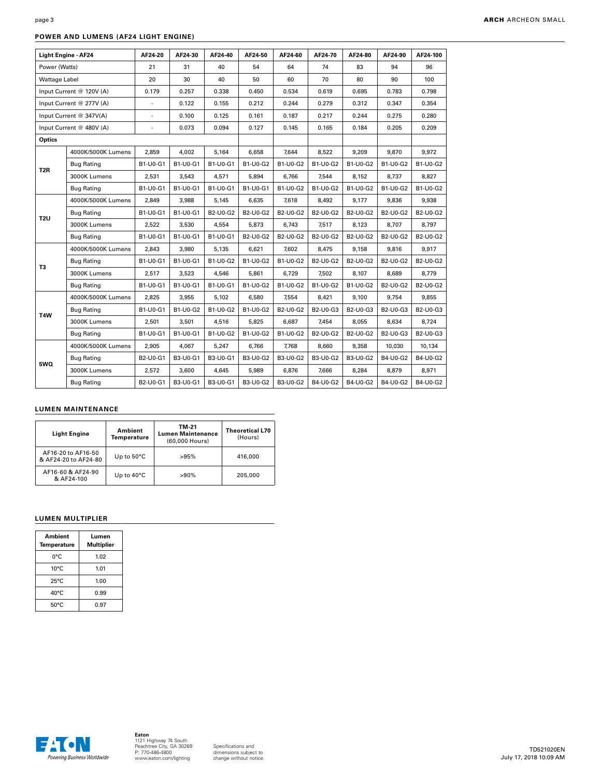## **POWER AND LUMENS (AF24 LIGHT ENGINE)**

| Light Engine - AF24 |                          | AF24-20        | AF24-30  | AF24-40  | AF24-50         | AF24-60         | AF24-70         | AF24-80  | AF24-90         | AF24-100 |
|---------------------|--------------------------|----------------|----------|----------|-----------------|-----------------|-----------------|----------|-----------------|----------|
| Power (Watts)       |                          | 21             | 31       | 40       | 54              | 64              | 74              | 83       | 94              | 96       |
| Wattage Label       |                          | 20             | 30       | 40       | 50              | 60              | 70              | 80       | 90              | 100      |
|                     | Input Current @ 120V (A) | 0.179          | 0.257    | 0.338    | 0.450           | 0.534           | 0.619           | 0.695    | 0.783           | 0.798    |
|                     | Input Current @ 277V (A) | $\blacksquare$ | 0.122    | 0.155    | 0.212           | 0.244           | 0.279           | 0.312    | 0.347           | 0.354    |
|                     | Input Current @ 347V(A)  | ÷.             | 0.100    | 0.125    | 0.161           | 0.187           | 0.217           | 0.244    | 0.275           | 0.280    |
|                     | Input Current @ 480V (A) | $\blacksquare$ | 0.073    | 0.094    | 0.127           | 0.145           | 0.165           | 0.184    | 0.205           | 0.209    |
| Optics              |                          |                |          |          |                 |                 |                 |          |                 |          |
|                     | 4000K/5000K Lumens       | 2,859          | 4,002    | 5,164    | 6,658           | 7.644           | 8,522           | 9,209    | 9,870           | 9,972    |
| T <sub>2</sub> R    | <b>Bug Rating</b>        | B1-U0-G1       | B1-U0-G1 | B1-U0-G1 | B1-U0-G2        | B1-U0-G2        | B1-U0-G2        | B1-U0-G2 | B1-U0-G2        | B1-U0-G2 |
|                     | 3000K Lumens             | 2,531          | 3,543    | 4,571    | 5,894           | 6,766           | 7,544           | 8,152    | 8,737           | 8,827    |
|                     | <b>Bug Rating</b>        | B1-U0-G1       | B1-U0-G1 | B1-U0-G1 | B1-U0-G1        | B1-U0-G2        | B1-U0-G2        | B1-U0-G2 | B1-U0-G2        | B1-U0-G2 |
|                     | 4000K/5000K Lumens       | 2,849          | 3,988    | 5,145    | 6,635           | 7,618           | 8,492           | 9,177    | 9,836           | 9,938    |
| T <sub>2U</sub>     | <b>Bug Rating</b>        | B1-U0-G1       | B1-U0-G1 | B2-U0-G2 | B2-U0-G2        | B2-U0-G2        | <b>B2-U0-G2</b> | B2-U0-G2 | <b>B2-U0-G2</b> | B2-U0-G2 |
|                     | 3000K Lumens             | 2.522          | 3,530    | 4,554    | 5,873           | 6,743           | 7,517           | 8,123    | 8,707           | 8,797    |
|                     | <b>Bug Rating</b>        | B1-U0-G1       | B1-U0-G1 | B1-U0-G1 | B2-U0-G2        | B2-U0-G2        | B2-U0-G2        | B2-U0-G2 | B2-U0-G2        | B2-U0-G2 |
|                     | 4000K/5000K Lumens       | 2.843          | 3.980    | 5.135    | 6.621           | 7.602           | 8,475           | 9,158    | 9,816           | 9,917    |
|                     | Bug Rating               | B1-U0-G1       | B1-U0-G1 | B1-U0-G2 | B1-U0-G2        | B1-U0-G2        | <b>B2-U0-G2</b> | B2-U0-G2 | B2-U0-G2        | B2-U0-G2 |
| T3                  | 3000K Lumens             | 2,517          | 3,523    | 4,546    | 5,861           | 6,729           | 7,502           | 8,107    | 8,689           | 8,779    |
|                     | Bug Rating               | B1-U0-G1       | B1-U0-G1 | B1-U0-G1 | B1-U0-G2        | B1-U0-G2        | B1-U0-G2        | B1-U0-G2 | B2-U0-G2        | B2-U0-G2 |
| T <sub>4</sub> W    | 4000K/5000K Lumens       | 2,825          | 3,955    | 5,102    | 6,580           | 7,554           | 8,421           | 9,100    | 9,754           | 9,855    |
|                     | Bug Rating               | B1-U0-G1       | B1-U0-G2 | B1-U0-G2 | B1-U0-G2        | B2-U0-G2        | B2-U0-G3        | B2-U0-G3 | B2-U0-G3        | B2-U0-G3 |
|                     | 3000K Lumens             | 2,501          | 3,501    | 4,516    | 5,825           | 6,687           | 7,454           | 8,055    | 8,634           | 8,724    |
|                     | Bug Rating               | B1-U0-G1       | B1-U0-G1 | B1-U0-G2 | B1-U0-G2        | B1-U0-G2        | B2-U0-G2        | B2-U0-G2 | B2-U0-G3        | B2-U0-G3 |
| 5WQ                 | 4000K/5000K Lumens       | 2,905          | 4.067    | 5,247    | 6.766           | 7,768           | 8,660           | 9,358    | 10.030          | 10,134   |
|                     | Bug Rating               | B2-U0-G1       | B3-U0-G1 | B3-U0-G1 | B3-U0-G2        | <b>B3-U0-G2</b> | B3-U0-G2        | B3-U0-G2 | B4-U0-G2        | B4-U0-G2 |
|                     | 3000K Lumens             | 2,572          | 3,600    | 4,645    | 5,989           | 6,876           | 7,666           | 8,284    | 8,879           | 8,971    |
|                     | <b>Bug Rating</b>        | B2-U0-G1       | B3-U0-G1 | B3-U0-G1 | <b>B3-U0-G2</b> | B3-U0-G2        | B4-U0-G2        | B4-U0-G2 | B4-U0-G2        | B4-U0-G2 |

## **LUMEN MAINTENANCE**

| <b>Light Engine</b>                        | Ambient<br>Temperature | TM-21<br><b>Lumen Maintenance</b><br>(60,000 Hours) | <b>Theoretical L70</b><br>(Hours) |  |
|--------------------------------------------|------------------------|-----------------------------------------------------|-----------------------------------|--|
| AF16-20 to AF16-50<br>& AF24-20 to AF24-80 | Up to $50^{\circ}$ C   | >95%                                                | 416,000                           |  |
| AF16-60 & AF24-90<br>& AF24-100            | Up to $40^{\circ}$ C   | $>90\%$                                             | 205,000                           |  |

## **LUMEN MULTIPLIER**

| Ambient<br>Temperature | Lumen<br><b>Multiplier</b> |
|------------------------|----------------------------|
| 0°C                    | 1.02                       |
| $10^{\circ}$ C         | 1.01                       |
| $25^{\circ}$ C         | 1.00                       |
| 40°C                   | 0.99                       |
| $50^{\circ}$ C         | 0.97                       |